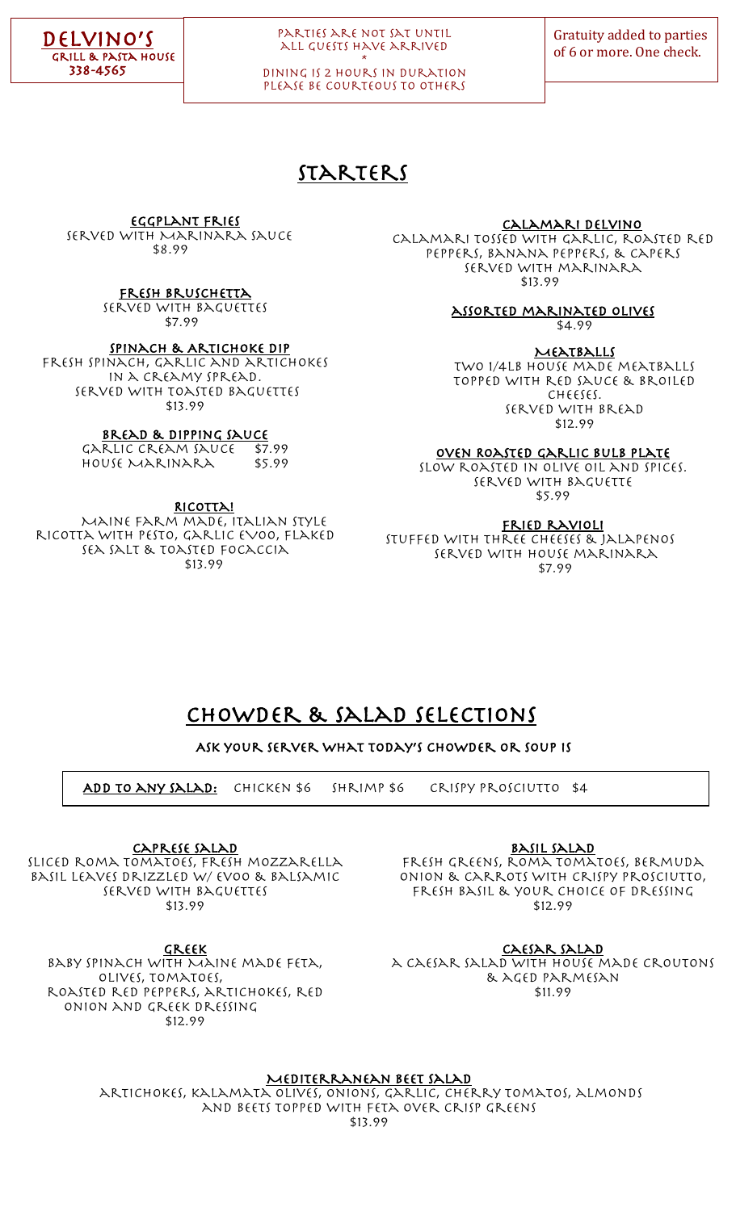

### Parties are not sat until all guests have arrived \*

dining is 2 hours in duration PLEASE BE COURTEOUS TO OTHERS

## Starters

Eggplant Fries

served with Marinara Sauce \$8.99

fresh bruschetta

served with Baguettes \$7.99

Spinach & Artichoke Dip

Fresh spinach, garlic and artichokes in a creamy spread. Served with toasted baguettes \$13.99

## **BREAD & DIPPING SAUCE**<br>RLIC CREAM SAUCE \$7.99

Garlic Cream Sauce \$7.99 House Marinara \$5.99

RICOTTA!

Maine farm made, Italian style ricotta with pesto, garlic EVOO, flaked sea salt & toasted focaccia \$13.99

Calamari delvino

calamari tossed with garlic, roasted red peppers, banana peppers, & capers served with marinara \$13.99

> assorted marinated olives \$4.99

**MEATBALLS** Two 1/4lb house made meatballs topped with red sauce & broiled cheeses. Served with bread \$12.99

Oven Roasted Garlic bulb plate

Slow roasted in olive oil and spices. Served with baguette \$5.99

FRIED RAVIOLI

Stuffed with three cheeses & jalapenos Served with house marinara \$7.99

## Chowder & Salad selections

Ask your server what today's chowder or Soup is

Add To any Salad: Chicken \$6 Shrimp \$6 Crispy prosciutto \$4

Caprese Salad

Sliced roma tomatoes, Fresh mozzarella basil leaves drizzled w/ evoo & balsamic Served with baguettes \$13.99

FRESH GREENS, ROMA TOMATOES, BERMUDA onion & Carrots with crispy prosciutto, fresh basil & your choice of dressing \$12.99

Basil Salad

GREEK baby spinach with Maine made feta, olives, tomatoes, roasted red peppers, artichokes, red onion and Greek dressing \$12.99

Caesar Salad

a Caesar salad with house made croutons & aged parmesan \$11.99

Mediterranean beet salad

artichokes, kalamata olives, onions, garlic, cherry tomatos, almonds and beets topped with feta over crisp greens \$13.99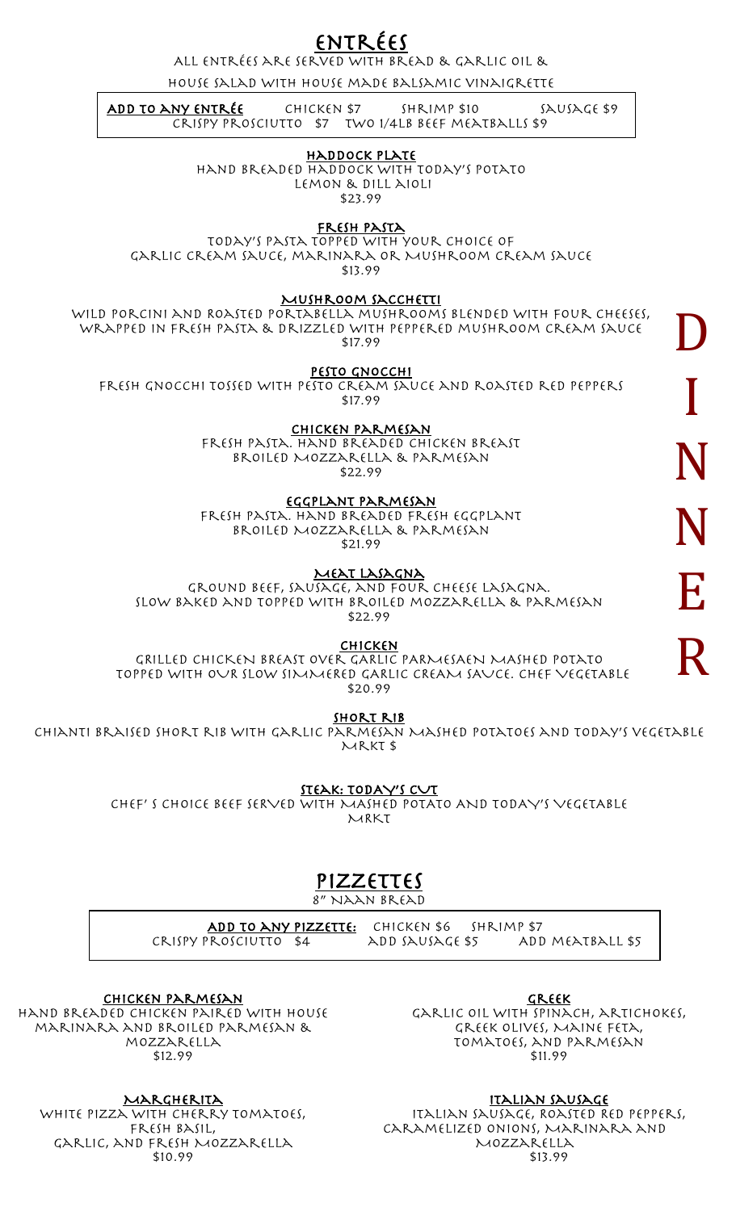ENTRÉES<br>ALL ENTRÉES ARE SERVED WITH BREAD & GARLIC OIL &

house salad with house made balsamic vinaigrette

<u>Crispy prosciutto</u> \$7 two 1/4LB BEEF MEATBALLS \$9 SAUSAGE \$9  $ADD$  TO ANY ENTRÉE CHICKEN \$7 SHRIMP \$10

### j HADDOCK PLATE

Hand breaded haddock with today's potato Lemon & dill aioli \$23.99

## FRESH PASTA

Today's pasta topped with your choice of garlic cream sauce, marinara or Mushroom cream sauce \$13.99

### Mushroom sacchetti

WILD PORCINI AND ROASTED PORTABELLA MUSHROOMS BLENDED WITH FOUR CHEESES, wrapped in fresh pasta & drizzled with peppered mushroom cream sauce \$17.99

Pesto gnocchi

Fresh gnocchi tossed with pesto cream sauce and roasted red peppers \$17.99

Chicken Parmesan

Fresh Pasta. Hand breaded chicken breast Broiled Mozzarella & Parmesan \$22.99

Eggplant Parmesan

Fresh Pasta. Hand breaded fresh eggplant Broiled Mozzarella & Parmesan  $$21.99$ 

MEAT LASAGNA

Ground Beef, Sausage, and Four Cheese Lasagna. Slow baked and topped with broiled mozzarella & parmesan \$22.99

Chicken

GRILLED CHICKEN BREAST over GARLIC PARMESAEN MASHED potato TOPPED WITH OUR slow SIMMERED GARLIC CREAM SAUCE. CHEF VEGETABLE \$20.99

SHORT RIB

Chianti braised short rib with garlic Parmesan Mashed Potatoes and today's vegetable Mrkt \$

STEAK: TODAY'S CUT

CHEF' S CHOICE BEEF SERVED WITH MASHED POTATO AND TODAY'S VEGETABLE MRKT

# Pizzettes

8" Naan bread

ADD TO ANY PIZZETTE: CHICKEN \$6 SHRIMP \$7 Crispy prosciutto \$4 add Sausage \$5 Add meatball \$5

Chicken Parmesan hand breaded chicken paired with house marinara and broiled Parmesan & mozzarella \$12.99

MARGHERITA WHITE PIZZA WITH CHERRY TOMATOES, Fresh Basil, Garlic, and fresh Mozzarella \$10.99

**GREEK** Garlic oil with spinach, artichokes, Greek olives, Maine Feta, tomatoes, and parmesan \$11.99

<u>ITALIAN SAUSAGE</u><br>ITALIAN SAUSAGE, ROASTED RED PEPPERS, CARAMELIZED ONIONS, MARINARA AND Mozzarella \$13.99

D I N N E R